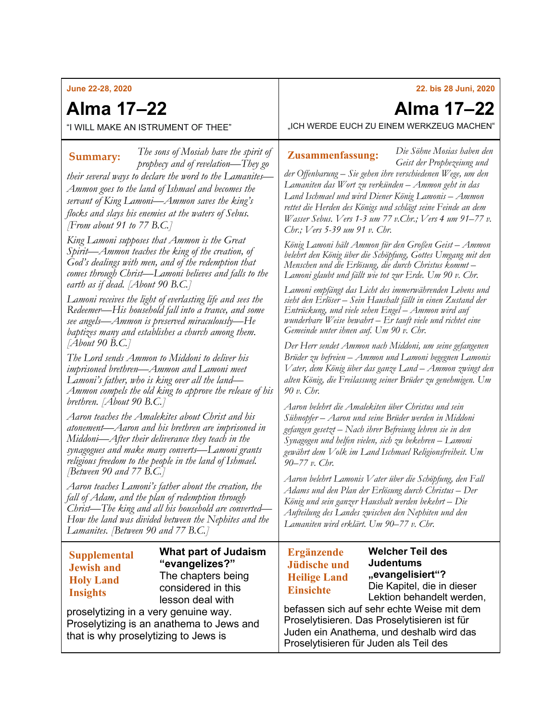| June 22-28, 2020                                                                                                                                                                                                                                                                                                                                       | 22. bis 28 Juni, 2020                                                                                                                                                                                                                                                                                                                                                                                                        |
|--------------------------------------------------------------------------------------------------------------------------------------------------------------------------------------------------------------------------------------------------------------------------------------------------------------------------------------------------------|------------------------------------------------------------------------------------------------------------------------------------------------------------------------------------------------------------------------------------------------------------------------------------------------------------------------------------------------------------------------------------------------------------------------------|
| Alma 17–22                                                                                                                                                                                                                                                                                                                                             | Alma 17–22                                                                                                                                                                                                                                                                                                                                                                                                                   |
| "I WILL MAKE AN ISTRUMENT OF THEE"                                                                                                                                                                                                                                                                                                                     | "ICH WERDE EUCH ZU EINEM WERKZEUG MACHEN"                                                                                                                                                                                                                                                                                                                                                                                    |
| The sons of Mosiah have the spirit of<br>Summary:<br>prophecy and of revelation—They go<br>their several ways to declare the word to the Lamanites-<br>Ammon goes to the land of Ishmael and becomes the<br>servant of King Lamoni-Ammon saves the king's<br>flocks and slays his enemies at the waters of Sebus.<br><i>From about 91 to 77 B.C.</i> ] | Die Söhne Mosias haben den<br><b>Zusammenfassung:</b><br>Geist der Prophezeiung und<br>der Offenbarung – Sie gehen ihre verschiedenen Wege, um den<br>Lamaniten das Wort zu verkünden – Ammon geht in das<br>Land Ischmael und wird Diener König Lamonis - Ammon<br>rettet die Herden des Königs und schlägt seine Feinde an dem<br>Wasser Sebus. Vers 1-3 um 77 v.Chr.; Vers 4 um 91–77 v.<br>Chr.; Vers 5-39 um 91 v. Chr. |
| King Lamoni supposes that Ammon is the Great<br>Spirit—Ammon teaches the king of the creation, of<br>God's dealings with men, and of the redemption that<br>comes through Christ—Lamoni believes and falls to the<br>earth as if dead. [About 90 B.C.]                                                                                                 | König Lamoni hält Ammon für den Großen Geist – Ammon<br>belehrt den König über die Schöpfung, Gottes Umgang mit den<br>Menschen und die Erlösung, die durch Christus kommt-<br>Lamoni glaubt und fällt wie tot zur Erde. Um 90 v. Chr.                                                                                                                                                                                       |
| Lamoni receives the light of everlasting life and sees the<br>Redeemer—His household fall into a trance, and some<br>see angels—Ammon is preserved miraculously—He<br>baptizes many and establishes a church among them.                                                                                                                               | Lamoni empfängt das Licht des immerwährenden Lebens und<br>sieht den Erlöser – Sein Haushalt fällt in einen Zustand der<br>Entrückung, und viele sehen Engel – Ammon wird auf<br>wunderbare Weise bewahrt $- Er$ tauft viele und richtet eine<br>Gemeinde unter ihnen auf. Um 90 v. Chr.                                                                                                                                     |
| [About 90 B.C.]<br>The Lord sends Ammon to Middoni to deliver his<br><i>imprisoned brethren—Ammon and Lamoni meet</i><br>Lamoni's father, who is king over all the land—<br>Ammon compels the old king to approve the release of his<br>brethren. [About 90 B.C.]                                                                                      | Der Herr sendet Ammon nach Middoni, um seine gefangenen<br>Brüder zu befreien – Ammon und Lamoni begegnen Lamonis<br>Vater, dem König über das ganze Land – Ammon zwingt den<br>alten König, die Freilassung seiner Brüder zu genehmigen. Um<br>90 v. Chr.                                                                                                                                                                   |
| Aaron teaches the Amalekites about Christ and his<br>atonement—Aaron and his brethren are imprisoned in<br>Middoni—After their deliverance they teach in the<br>synagogues and make many converts—Lamoni grants<br>religious freedom to the people in the land of Ishmael.                                                                             | Aaron belehrt die Amalekiten über Christus und sein<br>Sühnopfer – Aaron und seine Brüder werden in Middoni<br>gefangen gesetzt – Nach ihrer Befreiung lehren sie in den<br>Synagogen und helfen vielen, sich zu bekehren - Lamoni<br>gewährt dem Volk im Land Ischmael Religionsfreiheit. Um<br>90–77 v. Chr.                                                                                                               |
| <i>Between 90 and 77 B.C.</i><br>Aaron teaches Lamoni's father about the creation, the<br>fall of Adam, and the plan of redemption through<br>Christ—The king and all his household are converted—<br>How the land was divided between the Nephites and the<br>Lamanites. [Between 90 and 77 B.C.]                                                     | Aaron belehrt Lamonis Vater über die Schöpfung, den Fall<br>Adams und den Plan der Erlösung durch Christus – Der<br>König und sein ganzer Haushalt werden bekehrt – Die<br>Aufteilung des Landes zwischen den Nephiten und den<br>Lamaniten wird erklärt. Um 90–77 v. Chr.                                                                                                                                                   |
| What part of Judaism<br><b>Supplemental</b><br>"evangelizes?"<br><b>Jewish and</b><br>The chapters being<br><b>Holy Land</b><br>considered in this<br><b>Insights</b><br>lesson deal with<br>proselytizing in a very genuine way.<br>Proselytizing is an anathema to Jews and<br>that is why proselytizing to Jews is                                  | <b>Welcher Teil des</b><br><b>Ergänzende</b><br><b>Judentums</b><br><b>Jüdische und</b><br>"evangelisiert"?<br><b>Heilige Land</b><br>Die Kapitel, die in dieser<br><b>Einsichte</b><br>Lektion behandelt werden,<br>befassen sich auf sehr echte Weise mit dem<br>Proselytisieren. Das Proselytisieren ist für<br>Juden ein Anathema, und deshalb wird das<br>Proselytisieren für Juden als Teil des                        |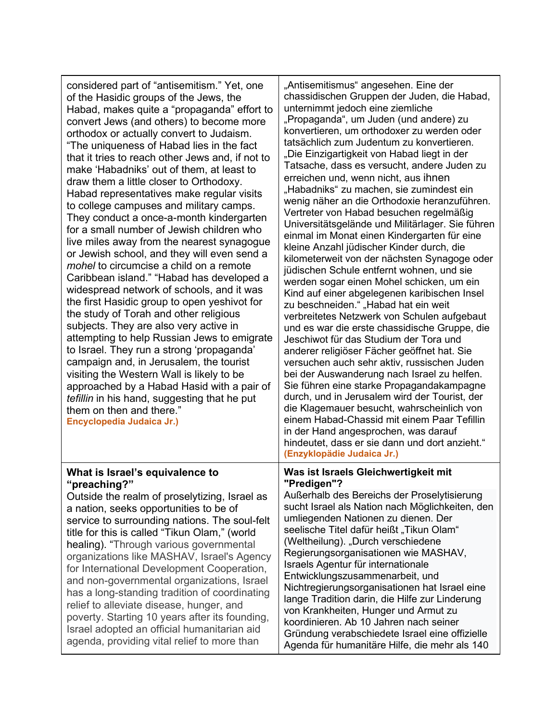considered part of "antisemitism." Yet, one of the Hasidic groups of the Jews, the Habad, makes quite a "propaganda" effort to convert Jews (and others) to become more orthodox or actually convert to Judaism. "The uniqueness of Habad lies in the fact that it tries to reach other Jews and, if not to make 'Habadniks' out of them, at least to draw them a little closer to Orthodoxy. Habad representatives make regular visits to college campuses and military camps. They conduct a once-a-month kindergarten for a small number of Jewish children who live miles away from the nearest synagogue or Jewish school, and they will even send a *mohel* to circumcise a child on a remote Caribbean island." "Habad has developed a widespread network of schools, and it was the first Hasidic group to open yeshivot for the study of Torah and other religious subjects. They are also very active in attempting to help Russian Jews to emigrate to Israel. They run a strong 'propaganda' campaign and, in Jerusalem, the tourist visiting the Western Wall is likely to be approached by a Habad Hasid with a pair of *tefillin* in his hand, suggesting that he put them on then and there." **Encyclopedia Judaica Jr.) What is Israel's equivalence to "preaching?"**

Outside the realm of proselytizing, Israel as a nation, seeks opportunities to be of service to surrounding nations. The soul-felt title for this is called "Tikun Olam," (world healing). "Through various governmental organizations like MASHAV, Israel's Agency for International Development Cooperation, and non-governmental organizations, Israel has a long-standing tradition of coordinating relief to alleviate disease, hunger, and poverty. Starting 10 years after its founding, Israel adopted an official humanitarian aid agenda, providing vital relief to more than

"Antisemitismus" angesehen. Eine der chassidischen Gruppen der Juden, die Habad, unternimmt jedoch eine ziemliche "Propaganda", um Juden (und andere) zu konvertieren, um orthodoxer zu werden oder tatsächlich zum Judentum zu konvertieren. "Die Einzigartigkeit von Habad liegt in der Tatsache, dass es versucht, andere Juden zu erreichen und, wenn nicht, aus ihnen "Habadniks" zu machen, sie zumindest ein wenig näher an die Orthodoxie heranzuführen. Vertreter von Habad besuchen regelmäßig Universitätsgelände und Militärlager. Sie führen einmal im Monat einen Kindergarten für eine kleine Anzahl jüdischer Kinder durch, die kilometerweit von der nächsten Synagoge oder jüdischen Schule entfernt wohnen, und sie werden sogar einen Mohel schicken, um ein Kind auf einer abgelegenen karibischen Insel zu beschneiden." "Habad hat ein weit verbreitetes Netzwerk von Schulen aufgebaut und es war die erste chassidische Gruppe, die Jeschiwot für das Studium der Tora und anderer religiöser Fächer geöffnet hat. Sie versuchen auch sehr aktiv, russischen Juden bei der Auswanderung nach Israel zu helfen. Sie führen eine starke Propagandakampagne durch, und in Jerusalem wird der Tourist, der die Klagemauer besucht, wahrscheinlich von einem Habad-Chassid mit einem Paar Tefillin in der Hand angesprochen, was darauf hindeutet, dass er sie dann und dort anzieht." **(Enzyklopädie Judaica Jr.)**

## **Was ist Israels Gleichwertigkeit mit "Predigen"?**

Außerhalb des Bereichs der Proselytisierung sucht Israel als Nation nach Möglichkeiten, den umliegenden Nationen zu dienen. Der seelische Titel dafür heißt "Tikun Olam" (Weltheilung). "Durch verschiedene Regierungsorganisationen wie MASHAV, Israels Agentur für internationale Entwicklungszusammenarbeit, und Nichtregierungsorganisationen hat Israel eine lange Tradition darin, die Hilfe zur Linderung von Krankheiten, Hunger und Armut zu koordinieren. Ab 10 Jahren nach seiner Gründung verabschiedete Israel eine offizielle Agenda für humanitäre Hilfe, die mehr als 140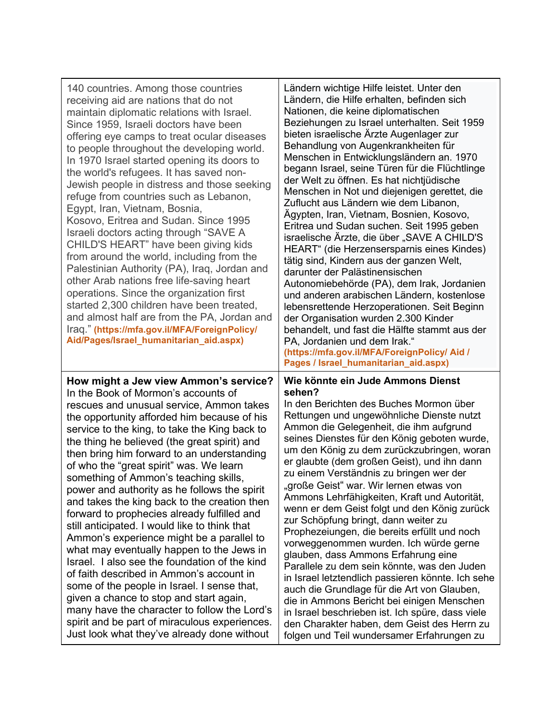| 140 countries. Among those countries<br>receiving aid are nations that do not<br>maintain diplomatic relations with Israel.<br>Since 1959, Israeli doctors have been<br>offering eye camps to treat ocular diseases<br>to people throughout the developing world.<br>In 1970 Israel started opening its doors to<br>the world's refugees. It has saved non-<br>Jewish people in distress and those seeking<br>refuge from countries such as Lebanon,<br>Egypt, Iran, Vietnam, Bosnia,<br>Kosovo, Eritrea and Sudan. Since 1995<br>Israeli doctors acting through "SAVE A<br>CHILD'S HEART" have been giving kids<br>from around the world, including from the<br>Palestinian Authority (PA), Iraq, Jordan and<br>other Arab nations free life-saving heart<br>operations. Since the organization first<br>started 2,300 children have been treated,<br>and almost half are from the PA, Jordan and<br>Iraq." (https://mfa.gov.il/MFA/ForeignPolicy/<br>Aid/Pages/Israel_humanitarian_aid.aspx)                                              | Ländern wichtige Hilfe leistet. Unter den<br>Ländern, die Hilfe erhalten, befinden sich<br>Nationen, die keine diplomatischen<br>Beziehungen zu Israel unterhalten. Seit 1959<br>bieten israelische Ärzte Augenlager zur<br>Behandlung von Augenkrankheiten für<br>Menschen in Entwicklungsländern an. 1970<br>begann Israel, seine Türen für die Flüchtlinge<br>der Welt zu öffnen. Es hat nichtjüdische<br>Menschen in Not und diejenigen gerettet, die<br>Zuflucht aus Ländern wie dem Libanon,<br>Ägypten, Iran, Vietnam, Bosnien, Kosovo,<br>Eritrea und Sudan suchen. Seit 1995 geben<br>israelische Ärzte, die über "SAVE A CHILD'S<br>HEART" (die Herzensersparnis eines Kindes)<br>tätig sind, Kindern aus der ganzen Welt,<br>darunter der Palästinensischen<br>Autonomiebehörde (PA), dem Irak, Jordanien<br>und anderen arabischen Ländern, kostenlose<br>lebensrettende Herzoperationen. Seit Beginn<br>der Organisation wurden 2.300 Kinder<br>behandelt, und fast die Hälfte stammt aus der<br>PA, Jordanien und dem Irak."<br>(https://mfa.gov.il/MFA/ForeignPolicy/ Aid /<br>Pages / Israel_humanitarian_aid.aspx) |
|---------------------------------------------------------------------------------------------------------------------------------------------------------------------------------------------------------------------------------------------------------------------------------------------------------------------------------------------------------------------------------------------------------------------------------------------------------------------------------------------------------------------------------------------------------------------------------------------------------------------------------------------------------------------------------------------------------------------------------------------------------------------------------------------------------------------------------------------------------------------------------------------------------------------------------------------------------------------------------------------------------------------------------------------|-------------------------------------------------------------------------------------------------------------------------------------------------------------------------------------------------------------------------------------------------------------------------------------------------------------------------------------------------------------------------------------------------------------------------------------------------------------------------------------------------------------------------------------------------------------------------------------------------------------------------------------------------------------------------------------------------------------------------------------------------------------------------------------------------------------------------------------------------------------------------------------------------------------------------------------------------------------------------------------------------------------------------------------------------------------------------------------------------------------------------------------|
| How might a Jew view Ammon's service?<br>In the Book of Mormon's accounts of<br>rescues and unusual service, Ammon takes<br>the opportunity afforded him because of his<br>service to the king, to take the King back to<br>the thing he believed (the great spirit) and<br>then bring him forward to an understanding<br>of who the "great spirit" was. We learn<br>something of Ammon's teaching skills,<br>power and authority as he follows the spirit<br>and takes the king back to the creation then<br>forward to prophecies already fulfilled and<br>still anticipated. I would like to think that<br>Ammon's experience might be a parallel to<br>what may eventually happen to the Jews in<br>Israel. I also see the foundation of the kind<br>of faith described in Ammon's account in<br>some of the people in Israel. I sense that,<br>given a chance to stop and start again,<br>many have the character to follow the Lord's<br>spirit and be part of miraculous experiences.<br>Just look what they've already done without | Wie könnte ein Jude Ammons Dienst<br>sehen?<br>In den Berichten des Buches Mormon über<br>Rettungen und ungewöhnliche Dienste nutzt<br>Ammon die Gelegenheit, die ihm aufgrund<br>seines Dienstes für den König geboten wurde,<br>um den König zu dem zurückzubringen, woran<br>er glaubte (dem großen Geist), und ihn dann<br>zu einem Verständnis zu bringen wer der<br>"große Geist" war. Wir lernen etwas von<br>Ammons Lehrfähigkeiten, Kraft und Autorität,<br>wenn er dem Geist folgt und den König zurück<br>zur Schöpfung bringt, dann weiter zu<br>Prophezeiungen, die bereits erfüllt und noch<br>vorweggenommen wurden. Ich würde gerne<br>glauben, dass Ammons Erfahrung eine<br>Parallele zu dem sein könnte, was den Juden<br>in Israel letztendlich passieren könnte. Ich sehe<br>auch die Grundlage für die Art von Glauben,<br>die in Ammons Bericht bei einigen Menschen<br>in Israel beschrieben ist. Ich spüre, dass viele<br>den Charakter haben, dem Geist des Herrn zu<br>folgen und Teil wundersamer Erfahrungen zu                                                                                        |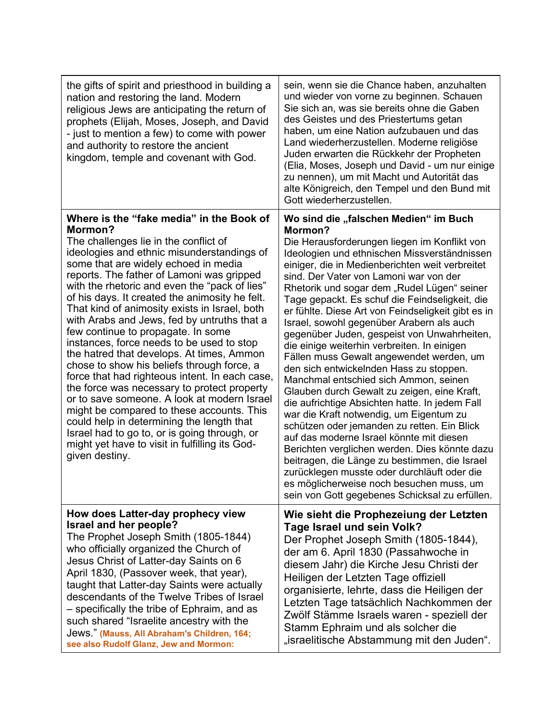| the gifts of spirit and priesthood in building a<br>nation and restoring the land. Modern<br>religious Jews are anticipating the return of<br>prophets (Elijah, Moses, Joseph, and David<br>- just to mention a few) to come with power<br>and authority to restore the ancient<br>kingdom, temple and covenant with God.                                                                                                                                                                                                                                                                                                                                                                                                                                                                                                                                                                                                                                                      | sein, wenn sie die Chance haben, anzuhalten<br>und wieder von vorne zu beginnen. Schauen<br>Sie sich an, was sie bereits ohne die Gaben<br>des Geistes und des Priestertums getan<br>haben, um eine Nation aufzubauen und das<br>Land wiederherzustellen. Moderne religiöse<br>Juden erwarten die Rückkehr der Propheten<br>(Elia, Moses, Joseph und David - um nur einige<br>zu nennen), um mit Macht und Autorität das<br>alte Königreich, den Tempel und den Bund mit<br>Gott wiederherzustellen.                                                                                                                                                                                                                                                                                                                                                                                                                                                                                                                                                                                                                                                                  |
|--------------------------------------------------------------------------------------------------------------------------------------------------------------------------------------------------------------------------------------------------------------------------------------------------------------------------------------------------------------------------------------------------------------------------------------------------------------------------------------------------------------------------------------------------------------------------------------------------------------------------------------------------------------------------------------------------------------------------------------------------------------------------------------------------------------------------------------------------------------------------------------------------------------------------------------------------------------------------------|-----------------------------------------------------------------------------------------------------------------------------------------------------------------------------------------------------------------------------------------------------------------------------------------------------------------------------------------------------------------------------------------------------------------------------------------------------------------------------------------------------------------------------------------------------------------------------------------------------------------------------------------------------------------------------------------------------------------------------------------------------------------------------------------------------------------------------------------------------------------------------------------------------------------------------------------------------------------------------------------------------------------------------------------------------------------------------------------------------------------------------------------------------------------------|
| Where is the "fake media" in the Book of<br>Mormon?<br>The challenges lie in the conflict of<br>ideologies and ethnic misunderstandings of<br>some that are widely echoed in media<br>reports. The father of Lamoni was gripped<br>with the rhetoric and even the "pack of lies"<br>of his days. It created the animosity he felt.<br>That kind of animosity exists in Israel, both<br>with Arabs and Jews, fed by untruths that a<br>few continue to propagate. In some<br>instances, force needs to be used to stop<br>the hatred that develops. At times, Ammon<br>chose to show his beliefs through force, a<br>force that had righteous intent. In each case,<br>the force was necessary to protect property<br>or to save someone. A look at modern Israel<br>might be compared to these accounts. This<br>could help in determining the length that<br>Israel had to go to, or is going through, or<br>might yet have to visit in fulfilling its God-<br>given destiny. | Wo sind die "falschen Medien" im Buch<br>Mormon?<br>Die Herausforderungen liegen im Konflikt von<br>Ideologien und ethnischen Missverständnissen<br>einiger, die in Medienberichten weit verbreitet<br>sind. Der Vater von Lamoni war von der<br>Rhetorik und sogar dem "Rudel Lügen" seiner<br>Tage gepackt. Es schuf die Feindseligkeit, die<br>er fühlte. Diese Art von Feindseligkeit gibt es in<br>Israel, sowohl gegenüber Arabern als auch<br>gegenüber Juden, gespeist von Unwahrheiten,<br>die einige weiterhin verbreiten. In einigen<br>Fällen muss Gewalt angewendet werden, um<br>den sich entwickelnden Hass zu stoppen.<br>Manchmal entschied sich Ammon, seinen<br>Glauben durch Gewalt zu zeigen, eine Kraft,<br>die aufrichtige Absichten hatte. In jedem Fall<br>war die Kraft notwendig, um Eigentum zu<br>schützen oder jemanden zu retten. Ein Blick<br>auf das moderne Israel könnte mit diesen<br>Berichten verglichen werden. Dies könnte dazu<br>beitragen, die Länge zu bestimmen, die Israel<br>zurücklegen musste oder durchläuft oder die<br>es möglicherweise noch besuchen muss, um<br>sein von Gott gegebenes Schicksal zu erfüllen. |
| How does Latter-day prophecy view<br>Israel and her people?<br>The Prophet Joseph Smith (1805-1844)<br>who officially organized the Church of<br>Jesus Christ of Latter-day Saints on 6<br>April 1830, (Passover week, that year),<br>taught that Latter-day Saints were actually<br>descendants of the Twelve Tribes of Israel<br>- specifically the tribe of Ephraim, and as<br>such shared "Israelite ancestry with the<br>Jews." (Mauss, All Abraham's Children, 164;<br>see also Rudolf Glanz, Jew and Mormon:                                                                                                                                                                                                                                                                                                                                                                                                                                                            | Wie sieht die Prophezeiung der Letzten<br>Tage Israel und sein Volk?<br>Der Prophet Joseph Smith (1805-1844),<br>der am 6. April 1830 (Passahwoche in<br>diesem Jahr) die Kirche Jesu Christi der<br>Heiligen der Letzten Tage offiziell<br>organisierte, lehrte, dass die Heiligen der<br>Letzten Tage tatsächlich Nachkommen der<br>Zwölf Stämme Israels waren - speziell der<br>Stamm Ephraim und als solcher die<br>"israelitische Abstammung mit den Juden".                                                                                                                                                                                                                                                                                                                                                                                                                                                                                                                                                                                                                                                                                                     |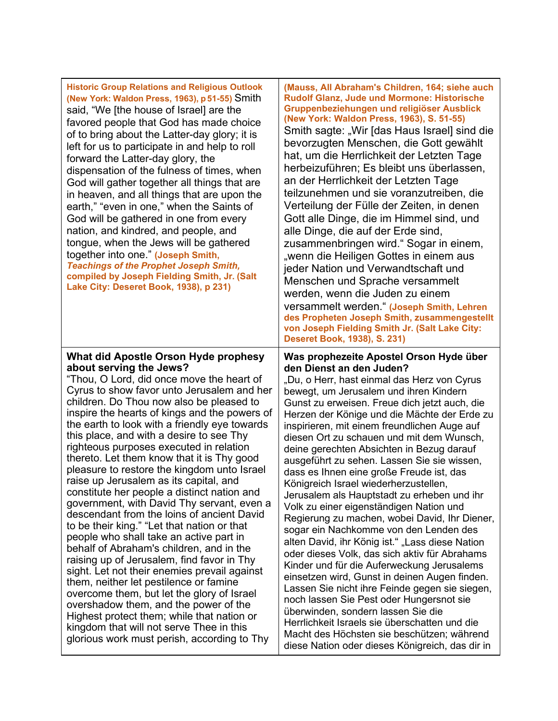| <b>Historic Group Relations and Religious Outlook</b><br>(New York: Waldon Press, 1963), p 51-55) Smith<br>said, "We [the house of Israel] are the<br>favored people that God has made choice<br>of to bring about the Latter-day glory; it is<br>left for us to participate in and help to roll<br>forward the Latter-day glory, the<br>dispensation of the fulness of times, when<br>God will gather together all things that are<br>in heaven, and all things that are upon the<br>earth," "even in one," when the Saints of<br>God will be gathered in one from every<br>nation, and kindred, and people, and<br>tongue, when the Jews will be gathered<br>together into one." (Joseph Smith,<br><b>Teachings of the Prophet Joseph Smith,</b><br>compiled by Joseph Fielding Smith, Jr. (Salt<br>Lake City: Deseret Book, 1938), p 231) | (Mauss, All Abraham's Children, 164; siehe auch<br>Rudolf Glanz, Jude und Mormone: Historische<br>Gruppenbeziehungen und religiöser Ausblick<br>(New York: Waldon Press, 1963), S. 51-55)<br>Smith sagte: "Wir [das Haus Israel] sind die<br>bevorzugten Menschen, die Gott gewählt<br>hat, um die Herrlichkeit der Letzten Tage<br>herbeizuführen; Es bleibt uns überlassen,<br>an der Herrlichkeit der Letzten Tage<br>teilzunehmen und sie voranzutreiben, die<br>Verteilung der Fülle der Zeiten, in denen<br>Gott alle Dinge, die im Himmel sind, und<br>alle Dinge, die auf der Erde sind,<br>zusammenbringen wird." Sogar in einem,<br>"wenn die Heiligen Gottes in einem aus<br>jeder Nation und Verwandtschaft und<br>Menschen und Sprache versammelt<br>werden, wenn die Juden zu einem<br>versammelt werden." (Joseph Smith, Lehren<br>des Propheten Joseph Smith, zusammengestellt<br>von Joseph Fielding Smith Jr. (Salt Lake City:<br>Deseret Book, 1938), S. 231) |
|----------------------------------------------------------------------------------------------------------------------------------------------------------------------------------------------------------------------------------------------------------------------------------------------------------------------------------------------------------------------------------------------------------------------------------------------------------------------------------------------------------------------------------------------------------------------------------------------------------------------------------------------------------------------------------------------------------------------------------------------------------------------------------------------------------------------------------------------|----------------------------------------------------------------------------------------------------------------------------------------------------------------------------------------------------------------------------------------------------------------------------------------------------------------------------------------------------------------------------------------------------------------------------------------------------------------------------------------------------------------------------------------------------------------------------------------------------------------------------------------------------------------------------------------------------------------------------------------------------------------------------------------------------------------------------------------------------------------------------------------------------------------------------------------------------------------------------------|
| What did Apostle Orson Hyde prophesy                                                                                                                                                                                                                                                                                                                                                                                                                                                                                                                                                                                                                                                                                                                                                                                                         | Was prophezeite Apostel Orson Hyde über                                                                                                                                                                                                                                                                                                                                                                                                                                                                                                                                                                                                                                                                                                                                                                                                                                                                                                                                          |
| about serving the Jews?                                                                                                                                                                                                                                                                                                                                                                                                                                                                                                                                                                                                                                                                                                                                                                                                                      | den Dienst an den Juden?                                                                                                                                                                                                                                                                                                                                                                                                                                                                                                                                                                                                                                                                                                                                                                                                                                                                                                                                                         |
| "Thou, O Lord, did once move the heart of                                                                                                                                                                                                                                                                                                                                                                                                                                                                                                                                                                                                                                                                                                                                                                                                    | "Du, o Herr, hast einmal das Herz von Cyrus                                                                                                                                                                                                                                                                                                                                                                                                                                                                                                                                                                                                                                                                                                                                                                                                                                                                                                                                      |
| Cyrus to show favor unto Jerusalem and her                                                                                                                                                                                                                                                                                                                                                                                                                                                                                                                                                                                                                                                                                                                                                                                                   | bewegt, um Jerusalem und ihren Kindern                                                                                                                                                                                                                                                                                                                                                                                                                                                                                                                                                                                                                                                                                                                                                                                                                                                                                                                                           |
| children. Do Thou now also be pleased to                                                                                                                                                                                                                                                                                                                                                                                                                                                                                                                                                                                                                                                                                                                                                                                                     | Gunst zu erweisen. Freue dich jetzt auch, die                                                                                                                                                                                                                                                                                                                                                                                                                                                                                                                                                                                                                                                                                                                                                                                                                                                                                                                                    |
| inspire the hearts of kings and the powers of                                                                                                                                                                                                                                                                                                                                                                                                                                                                                                                                                                                                                                                                                                                                                                                                | Herzen der Könige und die Mächte der Erde zu                                                                                                                                                                                                                                                                                                                                                                                                                                                                                                                                                                                                                                                                                                                                                                                                                                                                                                                                     |
| the earth to look with a friendly eye towards                                                                                                                                                                                                                                                                                                                                                                                                                                                                                                                                                                                                                                                                                                                                                                                                | inspirieren, mit einem freundlichen Auge auf                                                                                                                                                                                                                                                                                                                                                                                                                                                                                                                                                                                                                                                                                                                                                                                                                                                                                                                                     |
| this place, and with a desire to see Thy                                                                                                                                                                                                                                                                                                                                                                                                                                                                                                                                                                                                                                                                                                                                                                                                     | diesen Ort zu schauen und mit dem Wunsch,                                                                                                                                                                                                                                                                                                                                                                                                                                                                                                                                                                                                                                                                                                                                                                                                                                                                                                                                        |
| righteous purposes executed in relation                                                                                                                                                                                                                                                                                                                                                                                                                                                                                                                                                                                                                                                                                                                                                                                                      | deine gerechten Absichten in Bezug darauf                                                                                                                                                                                                                                                                                                                                                                                                                                                                                                                                                                                                                                                                                                                                                                                                                                                                                                                                        |
| thereto. Let them know that it is Thy good                                                                                                                                                                                                                                                                                                                                                                                                                                                                                                                                                                                                                                                                                                                                                                                                   | ausgeführt zu sehen. Lassen Sie sie wissen,                                                                                                                                                                                                                                                                                                                                                                                                                                                                                                                                                                                                                                                                                                                                                                                                                                                                                                                                      |
| pleasure to restore the kingdom unto Israel                                                                                                                                                                                                                                                                                                                                                                                                                                                                                                                                                                                                                                                                                                                                                                                                  | dass es Ihnen eine große Freude ist, das                                                                                                                                                                                                                                                                                                                                                                                                                                                                                                                                                                                                                                                                                                                                                                                                                                                                                                                                         |
| raise up Jerusalem as its capital, and                                                                                                                                                                                                                                                                                                                                                                                                                                                                                                                                                                                                                                                                                                                                                                                                       | Königreich Israel wiederherzustellen,                                                                                                                                                                                                                                                                                                                                                                                                                                                                                                                                                                                                                                                                                                                                                                                                                                                                                                                                            |
| constitute her people a distinct nation and                                                                                                                                                                                                                                                                                                                                                                                                                                                                                                                                                                                                                                                                                                                                                                                                  | Jerusalem als Hauptstadt zu erheben und ihr                                                                                                                                                                                                                                                                                                                                                                                                                                                                                                                                                                                                                                                                                                                                                                                                                                                                                                                                      |
| government, with David Thy servant, even a                                                                                                                                                                                                                                                                                                                                                                                                                                                                                                                                                                                                                                                                                                                                                                                                   | Volk zu einer eigenständigen Nation und                                                                                                                                                                                                                                                                                                                                                                                                                                                                                                                                                                                                                                                                                                                                                                                                                                                                                                                                          |
| descendant from the loins of ancient David                                                                                                                                                                                                                                                                                                                                                                                                                                                                                                                                                                                                                                                                                                                                                                                                   | Regierung zu machen, wobei David, Ihr Diener,                                                                                                                                                                                                                                                                                                                                                                                                                                                                                                                                                                                                                                                                                                                                                                                                                                                                                                                                    |
| to be their king." "Let that nation or that                                                                                                                                                                                                                                                                                                                                                                                                                                                                                                                                                                                                                                                                                                                                                                                                  | sogar ein Nachkomme von den Lenden des                                                                                                                                                                                                                                                                                                                                                                                                                                                                                                                                                                                                                                                                                                                                                                                                                                                                                                                                           |
| people who shall take an active part in                                                                                                                                                                                                                                                                                                                                                                                                                                                                                                                                                                                                                                                                                                                                                                                                      | alten David, ihr König ist." "Lass diese Nation                                                                                                                                                                                                                                                                                                                                                                                                                                                                                                                                                                                                                                                                                                                                                                                                                                                                                                                                  |
| behalf of Abraham's children, and in the                                                                                                                                                                                                                                                                                                                                                                                                                                                                                                                                                                                                                                                                                                                                                                                                     | oder dieses Volk, das sich aktiv für Abrahams                                                                                                                                                                                                                                                                                                                                                                                                                                                                                                                                                                                                                                                                                                                                                                                                                                                                                                                                    |
| raising up of Jerusalem, find favor in Thy                                                                                                                                                                                                                                                                                                                                                                                                                                                                                                                                                                                                                                                                                                                                                                                                   | Kinder und für die Auferweckung Jerusalems                                                                                                                                                                                                                                                                                                                                                                                                                                                                                                                                                                                                                                                                                                                                                                                                                                                                                                                                       |
| sight. Let not their enemies prevail against                                                                                                                                                                                                                                                                                                                                                                                                                                                                                                                                                                                                                                                                                                                                                                                                 | einsetzen wird, Gunst in deinen Augen finden.                                                                                                                                                                                                                                                                                                                                                                                                                                                                                                                                                                                                                                                                                                                                                                                                                                                                                                                                    |
| them, neither let pestilence or famine                                                                                                                                                                                                                                                                                                                                                                                                                                                                                                                                                                                                                                                                                                                                                                                                       | Lassen Sie nicht ihre Feinde gegen sie siegen,                                                                                                                                                                                                                                                                                                                                                                                                                                                                                                                                                                                                                                                                                                                                                                                                                                                                                                                                   |
| overcome them, but let the glory of Israel                                                                                                                                                                                                                                                                                                                                                                                                                                                                                                                                                                                                                                                                                                                                                                                                   | noch lassen Sie Pest oder Hungersnot sie                                                                                                                                                                                                                                                                                                                                                                                                                                                                                                                                                                                                                                                                                                                                                                                                                                                                                                                                         |
| overshadow them, and the power of the                                                                                                                                                                                                                                                                                                                                                                                                                                                                                                                                                                                                                                                                                                                                                                                                        | überwinden, sondern lassen Sie die                                                                                                                                                                                                                                                                                                                                                                                                                                                                                                                                                                                                                                                                                                                                                                                                                                                                                                                                               |
| Highest protect them; while that nation or                                                                                                                                                                                                                                                                                                                                                                                                                                                                                                                                                                                                                                                                                                                                                                                                   | Herrlichkeit Israels sie überschatten und die                                                                                                                                                                                                                                                                                                                                                                                                                                                                                                                                                                                                                                                                                                                                                                                                                                                                                                                                    |
| kingdom that will not serve Thee in this                                                                                                                                                                                                                                                                                                                                                                                                                                                                                                                                                                                                                                                                                                                                                                                                     | Macht des Höchsten sie beschützen; während                                                                                                                                                                                                                                                                                                                                                                                                                                                                                                                                                                                                                                                                                                                                                                                                                                                                                                                                       |
| glorious work must perish, according to Thy                                                                                                                                                                                                                                                                                                                                                                                                                                                                                                                                                                                                                                                                                                                                                                                                  | diese Nation oder dieses Königreich, das dir in                                                                                                                                                                                                                                                                                                                                                                                                                                                                                                                                                                                                                                                                                                                                                                                                                                                                                                                                  |